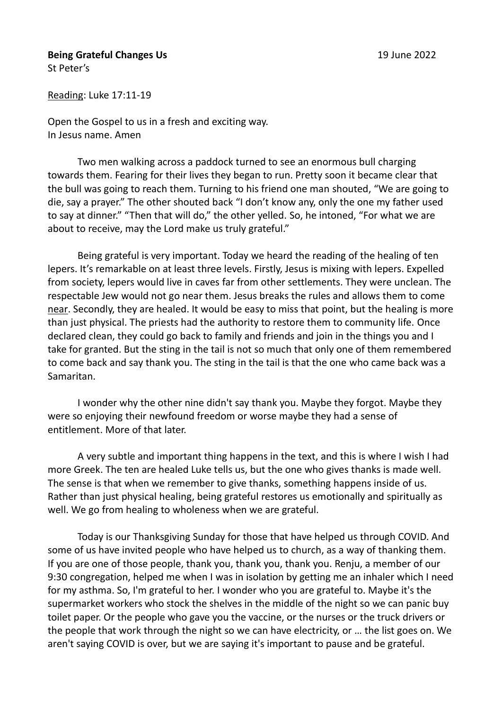## **Being Grateful Changes Us** 19 June 2022 St Peter's

Open the Gospel to us in a fresh and exciting way.

In Jesus name. Amen

Reading: Luke 17:11-19

Two men walking across a paddock turned to see an enormous bull charging towards them. Fearing for their lives they began to run. Pretty soon it became clear that the bull was going to reach them. Turning to his friend one man shouted, "We are going to die, say a prayer." The other shouted back "I don't know any, only the one my father used to say at dinner." "Then that will do," the other yelled. So, he intoned, "For what we are about to receive, may the Lord make us truly grateful."

Being grateful is very important. Today we heard the reading of the healing of ten lepers. It's remarkable on at least three levels. Firstly, Jesus is mixing with lepers. Expelled from society, lepers would live in caves far from other settlements. They were unclean. The respectable Jew would not go near them. Jesus breaks the rules and allows them to come near. Secondly, they are healed. It would be easy to miss that point, but the healing is more than just physical. The priests had the authority to restore them to community life. Once declared clean, they could go back to family and friends and join in the things you and I take for granted. But the sting in the tail is not so much that only one of them remembered to come back and say thank you. The sting in the tail is that the one who came back was a Samaritan.

I wonder why the other nine didn't say thank you. Maybe they forgot. Maybe they were so enjoying their newfound freedom or worse maybe they had a sense of entitlement. More of that later.

A very subtle and important thing happens in the text, and this is where I wish I had more Greek. The ten are healed Luke tells us, but the one who gives thanks is made well. The sense is that when we remember to give thanks, something happens inside of us. Rather than just physical healing, being grateful restores us emotionally and spiritually as well. We go from healing to wholeness when we are grateful.

Today is our Thanksgiving Sunday for those that have helped us through COVID. And some of us have invited people who have helped us to church, as a way of thanking them. If you are one of those people, thank you, thank you, thank you. Renju, a member of our 9:30 congregation, helped me when I was in isolation by getting me an inhaler which I need for my asthma. So, I'm grateful to her. I wonder who you are grateful to. Maybe it's the supermarket workers who stock the shelves in the middle of the night so we can panic buy toilet paper. Or the people who gave you the vaccine, or the nurses or the truck drivers or the people that work through the night so we can have electricity, or … the list goes on. We aren't saying COVID is over, but we are saying it's important to pause and be grateful.